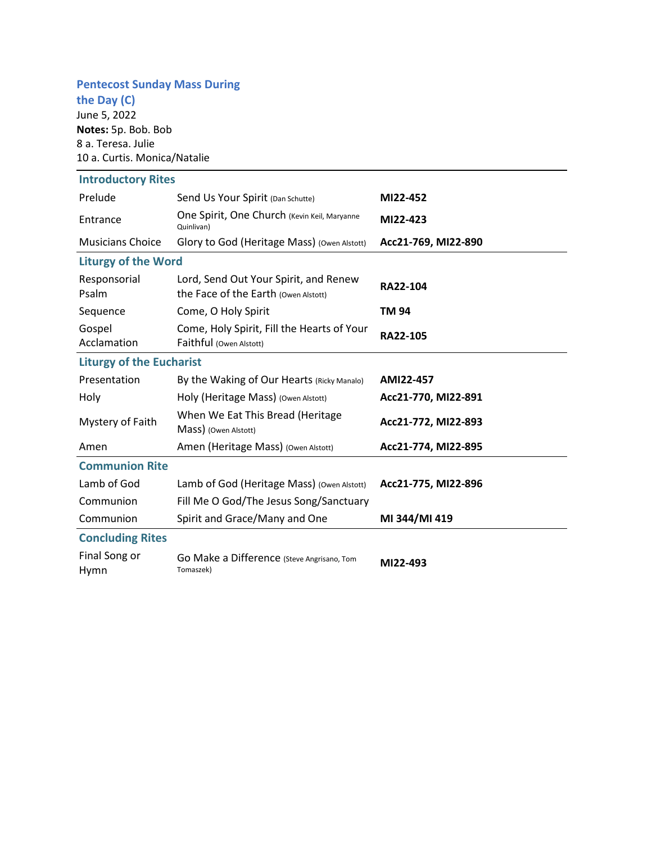# **Pentecost Sunday Mass During**

**the Day (C)** June 5, 2022 **Notes:** 5p. Bob. Bob 8 a. Teresa. Julie 10 a. Curtis. Monica/Natalie

| <b>Introductory Rites</b>       |                                                                               |                     |
|---------------------------------|-------------------------------------------------------------------------------|---------------------|
| Prelude                         | Send Us Your Spirit (Dan Schutte)                                             | MI22-452            |
| Entrance                        | One Spirit, One Church (Kevin Keil, Maryanne<br>Quinlivan)                    | MI22-423            |
| <b>Musicians Choice</b>         | Glory to God (Heritage Mass) (Owen Alstott)                                   | Acc21-769, MI22-890 |
| <b>Liturgy of the Word</b>      |                                                                               |                     |
| Responsorial<br>Psalm           | Lord, Send Out Your Spirit, and Renew<br>the Face of the Earth (Owen Alstott) | RA22-104            |
| Sequence                        | Come, O Holy Spirit                                                           | <b>TM 94</b>        |
| Gospel<br>Acclamation           | Come, Holy Spirit, Fill the Hearts of Your<br>Faithful (Owen Alstott)         | RA22-105            |
| <b>Liturgy of the Eucharist</b> |                                                                               |                     |
| Presentation                    | By the Waking of Our Hearts (Ricky Manalo)                                    | AMI22-457           |
| Holy                            | Holy (Heritage Mass) (Owen Alstott)                                           | Acc21-770, MI22-891 |
| Mystery of Faith                | When We Eat This Bread (Heritage<br>Mass) (Owen Alstott)                      | Acc21-772, MI22-893 |
| Amen                            | Amen (Heritage Mass) (Owen Alstott)                                           | Acc21-774, MI22-895 |
| <b>Communion Rite</b>           |                                                                               |                     |
| Lamb of God                     | Lamb of God (Heritage Mass) (Owen Alstott)                                    | Acc21-775, MI22-896 |
| Communion                       | Fill Me O God/The Jesus Song/Sanctuary                                        |                     |
| Communion                       | Spirit and Grace/Many and One                                                 | MI 344/MI 419       |
| <b>Concluding Rites</b>         |                                                                               |                     |
| Final Song or<br>Hymn           | Go Make a Difference (Steve Angrisano, Tom<br>Tomaszek)                       | MI22-493            |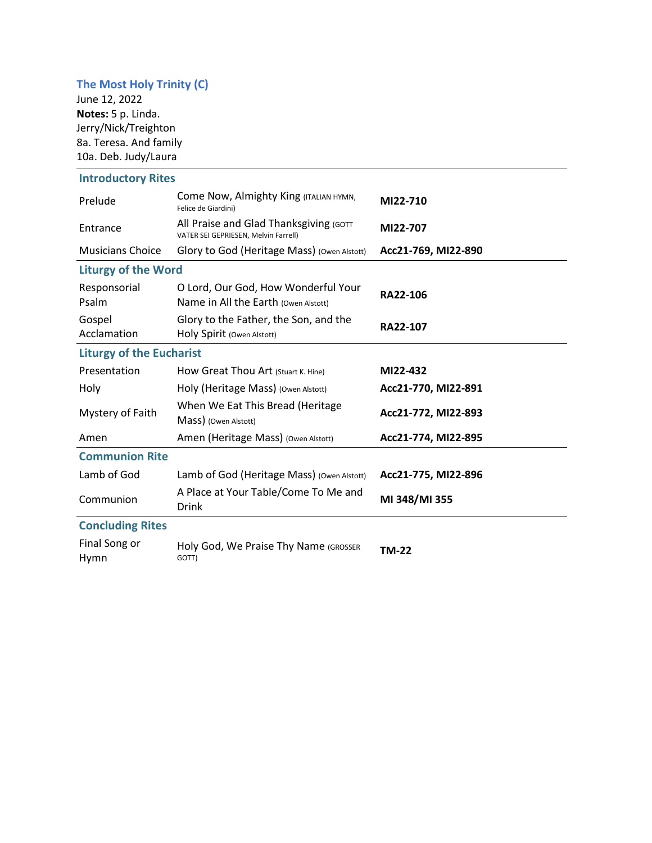## **The Most Holy Trinity (C)**

June 12, 2022 **Notes:** 5 p. Linda. Jerry/Nick/Treighton 8a. Teresa. And family 10a. Deb. Judy/Laura

## **Introductory Rites**

| Prelude                         | Come Now, Almighty King (ITALIAN HYMN,<br>Felice de Giardini)                  | MI22-710            |  |  |
|---------------------------------|--------------------------------------------------------------------------------|---------------------|--|--|
| Entrance                        | All Praise and Glad Thanksgiving (GOTT<br>VATER SEI GEPRIESEN, Melvin Farrell) | MI22-707            |  |  |
| <b>Musicians Choice</b>         | Glory to God (Heritage Mass) (Owen Alstott)                                    | Acc21-769, MI22-890 |  |  |
| <b>Liturgy of the Word</b>      |                                                                                |                     |  |  |
| Responsorial<br>Psalm           | O Lord, Our God, How Wonderful Your<br>Name in All the Earth (Owen Alstott)    | RA22-106            |  |  |
| Gospel<br>Acclamation           | Glory to the Father, the Son, and the<br>Holy Spirit (Owen Alstott)            | RA22-107            |  |  |
| <b>Liturgy of the Eucharist</b> |                                                                                |                     |  |  |
| Presentation                    | How Great Thou Art (Stuart K. Hine)                                            | MI22-432            |  |  |
| Holy                            | Holy (Heritage Mass) (Owen Alstott)                                            | Acc21-770, MI22-891 |  |  |
| Mystery of Faith                | When We Eat This Bread (Heritage<br>Mass) (Owen Alstott)                       | Acc21-772, MI22-893 |  |  |
| Amen                            | Amen (Heritage Mass) (Owen Alstott)                                            | Acc21-774, MI22-895 |  |  |
| <b>Communion Rite</b>           |                                                                                |                     |  |  |
| Lamb of God                     | Lamb of God (Heritage Mass) (Owen Alstott)                                     | Acc21-775, MI22-896 |  |  |
| Communion                       | A Place at Your Table/Come To Me and<br>Drink                                  | MI 348/MI 355       |  |  |
| <b>Concluding Rites</b>         |                                                                                |                     |  |  |
| Final Song or<br>Hymn           | Holy God, We Praise Thy Name (GROSSER<br>GOTT)                                 | <b>TM-22</b>        |  |  |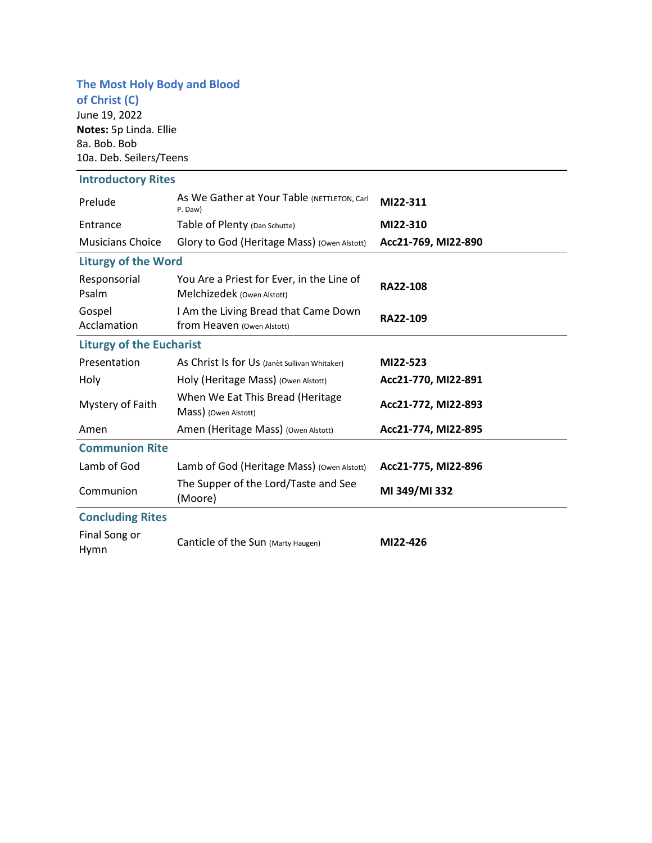# **The Most Holy Body and Blood**

**of Christ (C)** June 19, 2022 **Notes:** 5p Linda. Ellie 8a. Bob. Bob 10a. Deb. Seilers/Teens

| <b>Introductory Rites</b>       |                                                                         |                     |  |  |
|---------------------------------|-------------------------------------------------------------------------|---------------------|--|--|
| Prelude                         | As We Gather at Your Table (NETTLETON, Carl<br>P. Daw)                  | MI22-311            |  |  |
| Entrance                        | Table of Plenty (Dan Schutte)                                           | MI22-310            |  |  |
| <b>Musicians Choice</b>         | Glory to God (Heritage Mass) (Owen Alstott)                             | Acc21-769, MI22-890 |  |  |
| <b>Liturgy of the Word</b>      |                                                                         |                     |  |  |
| Responsorial<br>Psalm           | You Are a Priest for Ever, in the Line of<br>Melchizedek (Owen Alstott) | <b>RA22-108</b>     |  |  |
| Gospel<br>Acclamation           | I Am the Living Bread that Came Down<br>from Heaven (Owen Alstott)      | RA22-109            |  |  |
| <b>Liturgy of the Eucharist</b> |                                                                         |                     |  |  |
| Presentation                    | As Christ Is for Us (Janèt Sullivan Whitaker)                           | MI22-523            |  |  |
| Holy                            | Holy (Heritage Mass) (Owen Alstott)                                     | Acc21-770, MI22-891 |  |  |
| Mystery of Faith                | When We Eat This Bread (Heritage<br>Mass) (Owen Alstott)                | Acc21-772, MI22-893 |  |  |
| Amen                            | Amen (Heritage Mass) (Owen Alstott)                                     | Acc21-774, MI22-895 |  |  |
| <b>Communion Rite</b>           |                                                                         |                     |  |  |
| Lamb of God                     | Lamb of God (Heritage Mass) (Owen Alstott)                              | Acc21-775, MI22-896 |  |  |
| Communion                       | The Supper of the Lord/Taste and See<br>(Moore)                         | MI 349/MI 332       |  |  |
| <b>Concluding Rites</b>         |                                                                         |                     |  |  |
| Final Song or<br>Hymn           | Canticle of the Sun (Marty Haugen)                                      | MI22-426            |  |  |